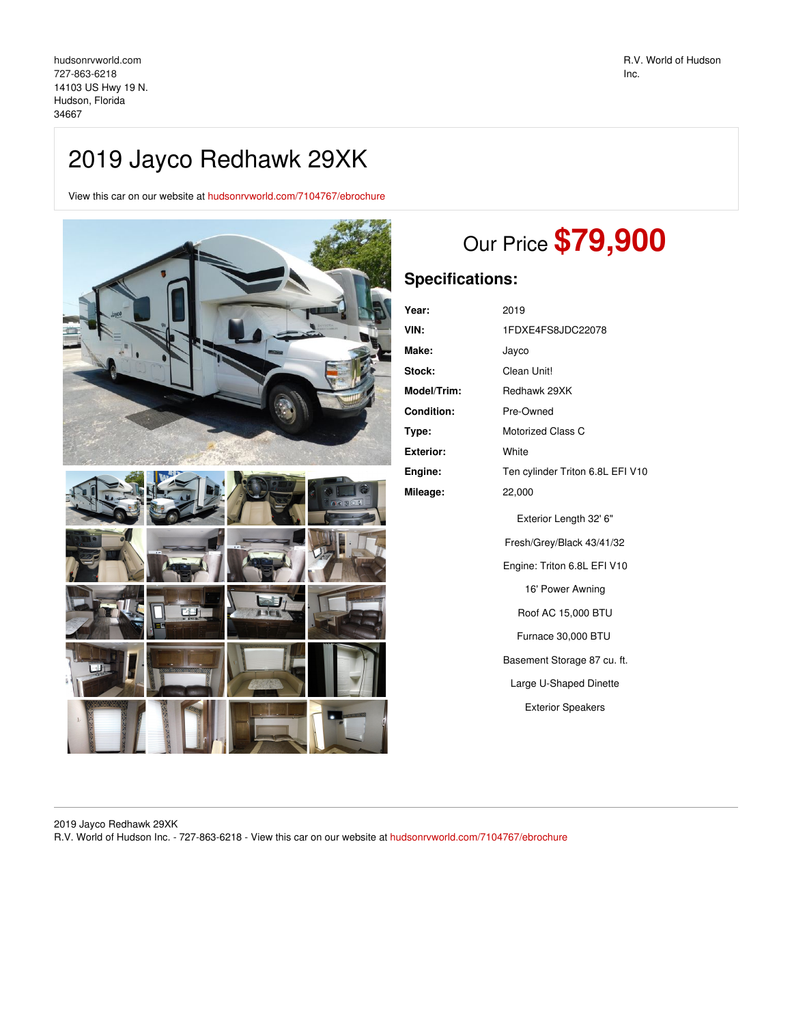## 2019 Jayco Redhawk 29XK

View this car on our website at [hudsonrvworld.com/7104767/ebrochure](https://hudsonrvworld.com/vehicle/7104767/2019-jayco-redhawk-29xk-hudson-florida-34667/7104767/ebrochure)



# Our Price **\$79,900**

### **Specifications:**

| Year:              | 2019                             |
|--------------------|----------------------------------|
| VIN:               | 1FDXE4FS8JDC22078                |
| <b>Make:</b>       | Jayco                            |
| <b>Stock:</b>      | Clean Unit!                      |
| <b>Model/Trim:</b> | Redhawk 29XK                     |
| <b>Condition:</b>  | Pre-Owned                        |
| Type:              | <b>Motorized Class C</b>         |
| <b>Exterior:</b>   | White                            |
| Engine:            | Ten cylinder Triton 6.8L EFI V10 |
| Mileage:           | 22,000                           |
|                    | Exterior Length 32' 6"           |
|                    | Fresh/Grey/Black 43/41/32        |
|                    | Engine: Triton 6.8L EFI V10      |
|                    | 16' Power Awning                 |
|                    | Roof AC 15,000 BTU               |
|                    | Furnace 30,000 BTU               |
|                    | Basement Storage 87 cu. ft.      |
|                    | Large U-Shaped Dinette           |
|                    | <b>Exterior Speakers</b>         |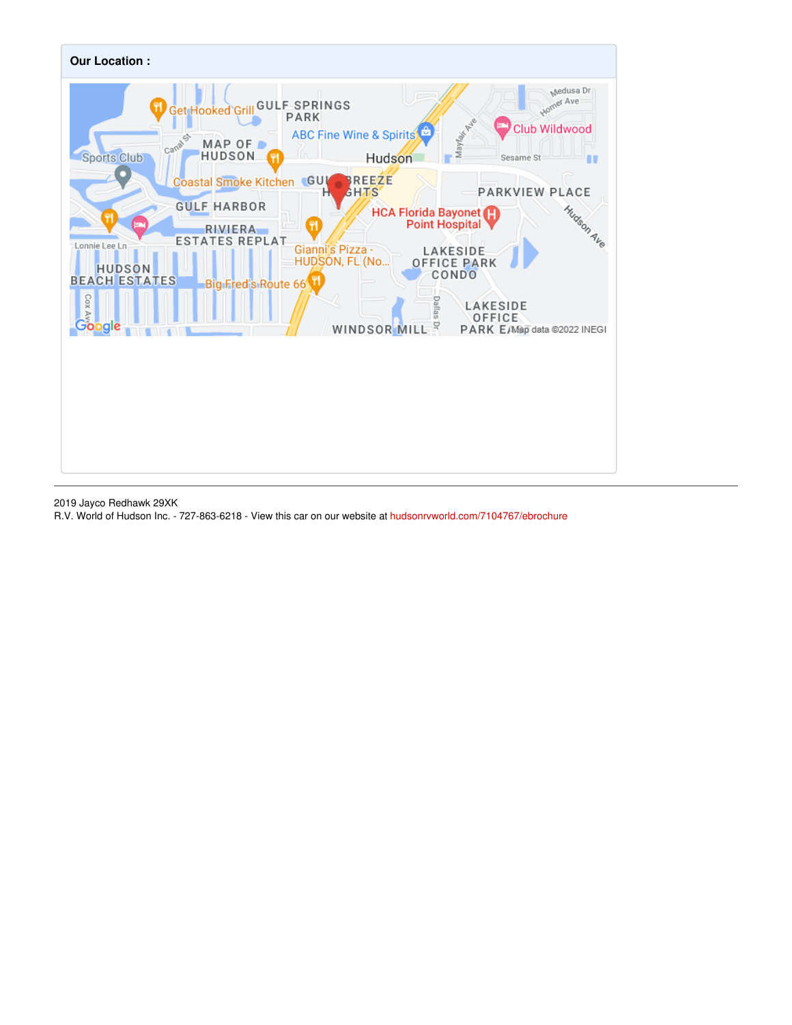

2019 Jayco Redhawk 29XK

R.V. World of Hudson Inc. - 727-863-6218 - View this car on our website at [hudsonrvworld.com/7104767/ebrochure](https://hudsonrvworld.com/vehicle/7104767/2019-jayco-redhawk-29xk-hudson-florida-34667/7104767/ebrochure)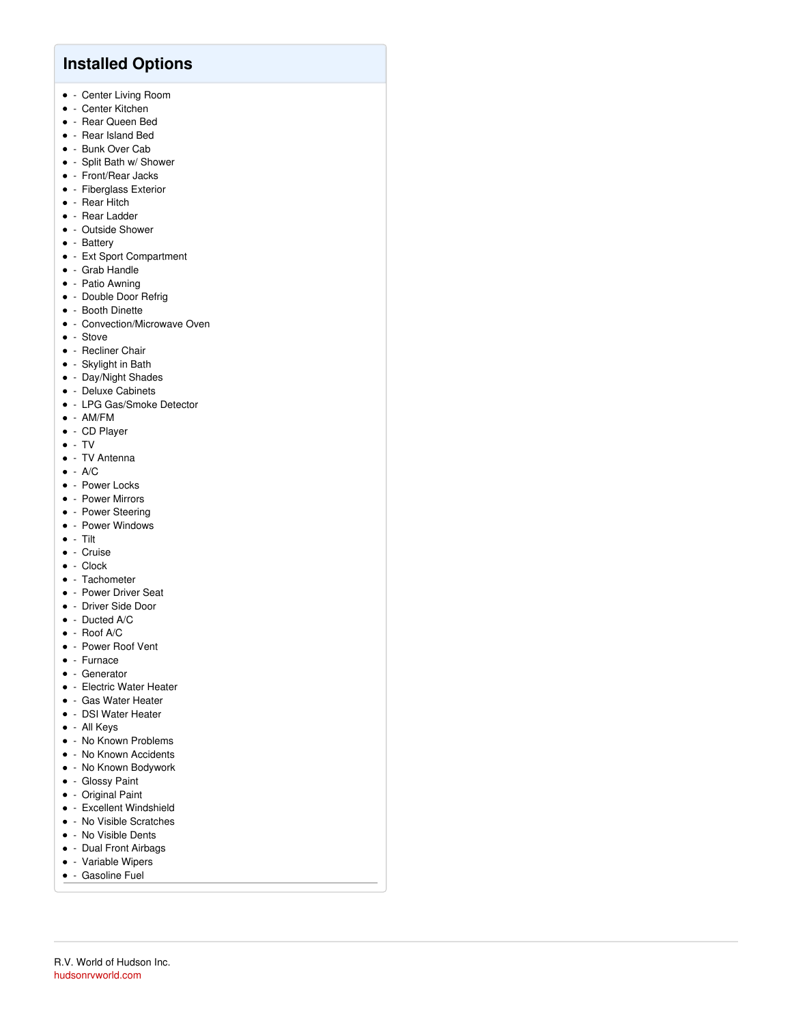### **Installed Options**

- Center Living Room
- - Center Kitchen
- Rear Queen Bed
- Rear Island Bed
- Bunk Over Cab
- Split Bath w/ Shower
- Front/Rear Jacks
- Fiberglass Exterior
- - Rear Hitch
- - Rear Ladder
- - Outside Shower
- - Battery
- Ext Sport Compartment
- Grab Handle
- Patio Awning
- Double Door Refrig
- - Booth Dinette
- Convection/Microwave Oven
- - Stove
- **•** Recliner Chair
- Skylight in Bath
- Day/Night Shades
- - Deluxe Cabinets
- LPG Gas/Smoke Detector
- $\bullet$  AM/FM
- CD Player
- $\bullet$  TV
- - TV Antenna
- $\bullet$  A/C
- - Power Locks
- - Power Mirrors
- - Power Steering
- - Power Windows
- $\bullet$  Tilt
- Cruise
- $\bullet$  Clock
- - Tachometer
- Power Driver Seat
- Driver Side Door
- $\bullet$  Ducted A/C
- $\bullet$  Roof A/C
- Power Roof Vent
- Furnace
- Generator
- Electric Water Heater
- Gas Water Heater
- DSI Water Heater
- All Keys
- - No Known Problems
- - No Known Accidents
- No Known Bodywork
- Glossy Paint
- Original Paint
- Excellent Windshield
- No Visible Scratches
- No Visible Dents
- Dual Front Airbags
- Variable Wipers
- Gasoline Fuel